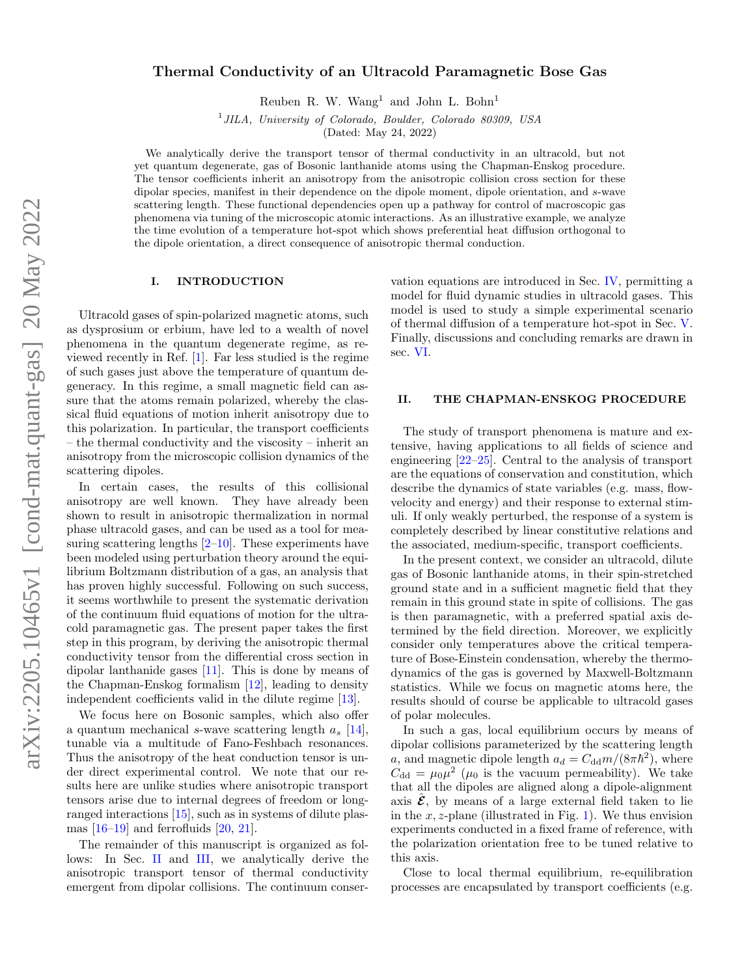# Thermal Conductivity of an Ultracold Paramagnetic Bose Gas

Reuben R. W. Wang<sup>1</sup> and John L. Bohn<sup>1</sup>

<sup>1</sup> JILA, University of Colorado, Boulder, Colorado 80309, USA

(Dated: May 24, 2022)

We analytically derive the transport tensor of thermal conductivity in an ultracold, but not yet quantum degenerate, gas of Bosonic lanthanide atoms using the Chapman-Enskog procedure. The tensor coefficients inherit an anisotropy from the anisotropic collision cross section for these dipolar species, manifest in their dependence on the dipole moment, dipole orientation, and s-wave scattering length. These functional dependencies open up a pathway for control of macroscopic gas phenomena via tuning of the microscopic atomic interactions. As an illustrative example, we analyze the time evolution of a temperature hot-spot which shows preferential heat diffusion orthogonal to the dipole orientation, a direct consequence of anisotropic thermal conduction.

## I. INTRODUCTION

Ultracold gases of spin-polarized magnetic atoms, such as dysprosium or erbium, have led to a wealth of novel phenomena in the quantum degenerate regime, as reviewed recently in Ref. [\[1\]](#page-7-0). Far less studied is the regime of such gases just above the temperature of quantum degeneracy. In this regime, a small magnetic field can assure that the atoms remain polarized, whereby the classical fluid equations of motion inherit anisotropy due to this polarization. In particular, the transport coefficients – the thermal conductivity and the viscosity – inherit an anisotropy from the microscopic collision dynamics of the scattering dipoles.

In certain cases, the results of this collisional anisotropy are well known. They have already been shown to result in anisotropic thermalization in normal phase ultracold gases, and can be used as a tool for measuring scattering lengths  $[2-10]$  $[2-10]$ . These experiments have been modeled using perturbation theory around the equilibrium Boltzmann distribution of a gas, an analysis that has proven highly successful. Following on such success, it seems worthwhile to present the systematic derivation of the continuum fluid equations of motion for the ultracold paramagnetic gas. The present paper takes the first step in this program, by deriving the anisotropic thermal conductivity tensor from the differential cross section in dipolar lanthanide gases [\[11\]](#page-8-2). This is done by means of the Chapman-Enskog formalism [\[12\]](#page-8-3), leading to density independent coefficients valid in the dilute regime [\[13\]](#page-8-4).

We focus here on Bosonic samples, which also offer a quantum mechanical s-wave scattering length  $a_s$  [\[14\]](#page-8-5), tunable via a multitude of Fano-Feshbach resonances. Thus the anisotropy of the heat conduction tensor is under direct experimental control. We note that our results here are unlike studies where anisotropic transport tensors arise due to internal degrees of freedom or longranged interactions [\[15\]](#page-8-6), such as in systems of dilute plasmas  $[16-19]$  $[16-19]$  and ferrofluids  $[20, 21]$  $[20, 21]$  $[20, 21]$ .

The remainder of this manuscript is organized as follows: In Sec. [II](#page-0-0) and [III,](#page-2-0) we analytically derive the anisotropic transport tensor of thermal conductivity emergent from dipolar collisions. The continuum conservation equations are introduced in Sec. [IV,](#page-3-0) permitting a model for fluid dynamic studies in ultracold gases. This model is used to study a simple experimental scenario of thermal diffusion of a temperature hot-spot in Sec. [V.](#page-4-0) Finally, discussions and concluding remarks are drawn in sec. [VI.](#page-4-1)

#### <span id="page-0-0"></span>II. THE CHAPMAN-ENSKOG PROCEDURE

The study of transport phenomena is mature and extensive, having applications to all fields of science and engineering [\[22](#page-8-11)[–25\]](#page-8-12). Central to the analysis of transport are the equations of conservation and constitution, which describe the dynamics of state variables (e.g. mass, flowvelocity and energy) and their response to external stimuli. If only weakly perturbed, the response of a system is completely described by linear constitutive relations and the associated, medium-specific, transport coefficients.

In the present context, we consider an ultracold, dilute gas of Bosonic lanthanide atoms, in their spin-stretched ground state and in a sufficient magnetic field that they remain in this ground state in spite of collisions. The gas is then paramagnetic, with a preferred spatial axis determined by the field direction. Moreover, we explicitly consider only temperatures above the critical temperature of Bose-Einstein condensation, whereby the thermodynamics of the gas is governed by Maxwell-Boltzmann statistics. While we focus on magnetic atoms here, the results should of course be applicable to ultracold gases of polar molecules.

In such a gas, local equilibrium occurs by means of dipolar collisions parameterized by the scattering length a, and magnetic dipole length  $a_d = C_{dd} m/(8 \pi \hbar^2)$ , where  $C_{\rm dd} = \mu_0 \mu^2$  ( $\mu_0$  is the vacuum permeability). We take that all the dipoles are aligned along a dipole-alignment axis  $\hat{\mathcal{E}}$ , by means of a large external field taken to lie in the x, z-plane (illustrated in Fig. [1\)](#page-1-0). We thus envision experiments conducted in a fixed frame of reference, with the polarization orientation free to be tuned relative to this axis.

Close to local thermal equilibrium, re-equilibration processes are encapsulated by transport coefficients (e.g.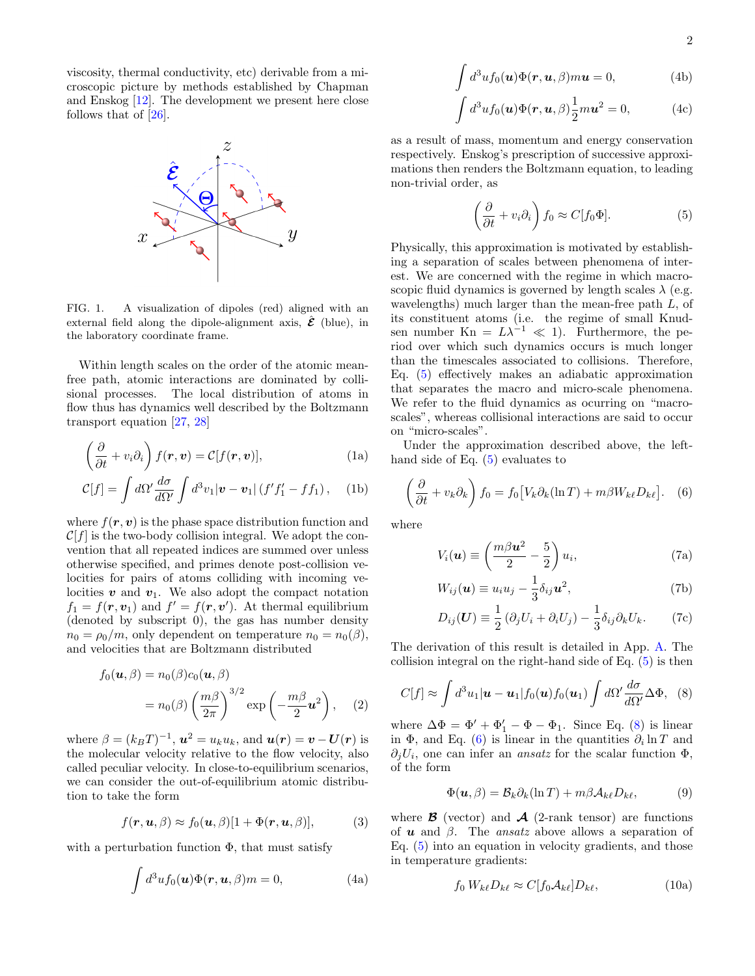viscosity, thermal conductivity, etc) derivable from a microscopic picture by methods established by Chapman and Enskog [\[12\]](#page-8-3). The development we present here close follows that of [\[26\]](#page-8-13).



<span id="page-1-0"></span>FIG. 1. A visualization of dipoles (red) aligned with an external field along the dipole-alignment axis,  $\mathcal{\hat{E}}$  (blue), in the laboratory coordinate frame.

Within length scales on the order of the atomic meanfree path, atomic interactions are dominated by collisional processes. The local distribution of atoms in flow thus has dynamics well described by the Boltzmann transport equation [\[27,](#page-8-14) [28\]](#page-8-15)

$$
\left(\frac{\partial}{\partial t} + v_i \partial_i\right) f(\mathbf{r}, \mathbf{v}) = \mathcal{C}[f(\mathbf{r}, \mathbf{v})], \tag{1a}
$$

$$
\mathcal{C}[f] = \int d\Omega' \frac{d\sigma}{d\Omega'} \int d^3v_1 |\mathbf{v} - \mathbf{v}_1| (f'f'_1 - ff_1), \quad \text{(1b)}
$$

where  $f(\mathbf{r}, \mathbf{v})$  is the phase space distribution function and  $\mathcal{C}[f]$  is the two-body collision integral. We adopt the convention that all repeated indices are summed over unless otherwise specified, and primes denote post-collision velocities for pairs of atoms colliding with incoming velocities  $v$  and  $v_1$ . We also adopt the compact notation  $f_1 = f(\mathbf{r}, \mathbf{v}_1)$  and  $f' = f(\mathbf{r}, \mathbf{v}')$ . At thermal equilibrium (denoted by subscript 0), the gas has number density  $n_0 = \rho_0/m$ , only dependent on temperature  $n_0 = n_0(\beta)$ , and velocities that are Boltzmann distributed

$$
f_0(\mathbf{u}, \beta) = n_0(\beta)c_0(\mathbf{u}, \beta)
$$
  
=  $n_0(\beta) \left(\frac{m\beta}{2\pi}\right)^{3/2} \exp\left(-\frac{m\beta}{2}\mathbf{u}^2\right),$  (2)

where  $\beta = (k_B T)^{-1}$ ,  $\boldsymbol{u}^2 = u_k u_k$ , and  $\boldsymbol{u}(\boldsymbol{r}) = \boldsymbol{v} - \boldsymbol{U}(\boldsymbol{r})$  is the molecular velocity relative to the flow velocity, also called peculiar velocity. In close-to-equilibrium scenarios, we can consider the out-of-equilibrium atomic distribution to take the form

$$
f(\mathbf{r}, \mathbf{u}, \beta) \approx f_0(\mathbf{u}, \beta) [1 + \Phi(\mathbf{r}, \mathbf{u}, \beta)], \tag{3}
$$

with a perturbation function  $\Phi$ , that must satisfy

$$
\int d^3u f_0(\mathbf{u}) \Phi(\mathbf{r}, \mathbf{u}, \beta) m = 0,
$$
 (4a)

$$
\int d^3u f_0(\mathbf{u}) \Phi(\mathbf{r}, \mathbf{u}, \beta) m \mathbf{u} = 0,
$$
 (4b)

$$
\int d^3u f_0(\mathbf{u}) \Phi(\mathbf{r}, \mathbf{u}, \beta) \frac{1}{2} m \mathbf{u}^2 = 0,
$$
 (4c)

as a result of mass, momentum and energy conservation respectively. Enskog's prescription of successive approximations then renders the Boltzmann equation, to leading non-trivial order, as

<span id="page-1-1"></span>
$$
\left(\frac{\partial}{\partial t} + v_i \partial_i\right) f_0 \approx C[f_0 \Phi].
$$
\n(5)

Physically, this approximation is motivated by establishing a separation of scales between phenomena of interest. We are concerned with the regime in which macroscopic fluid dynamics is governed by length scales  $\lambda$  (e.g. wavelengths) much larger than the mean-free path L, of its constituent atoms (i.e. the regime of small Knudsen number Kn =  $L\lambda^{-1} \ll 1$ ). Furthermore, the period over which such dynamics occurs is much longer than the timescales associated to collisions. Therefore, Eq. [\(5\)](#page-1-1) effectively makes an adiabatic approximation that separates the macro and micro-scale phenomena. We refer to the fluid dynamics as ocurring on "macroscales", whereas collisional interactions are said to occur on "micro-scales".

Under the approximation described above, the lefthand side of Eq. [\(5\)](#page-1-1) evaluates to

$$
\left(\frac{\partial}{\partial t} + v_k \partial_k\right) f_0 = f_0 \left[V_k \partial_k (\ln T) + m\beta W_{k\ell} D_{k\ell}\right].
$$
 (6)

where

<span id="page-1-3"></span>
$$
V_i(\boldsymbol{u}) \equiv \left(\frac{m\beta\boldsymbol{u}^2}{2} - \frac{5}{2}\right)u_i,
$$
 (7a)

$$
W_{ij}(\boldsymbol{u}) \equiv u_i u_j - \frac{1}{3} \delta_{ij} \boldsymbol{u}^2,\tag{7b}
$$

<span id="page-1-2"></span>
$$
D_{ij}(\boldsymbol{U}) \equiv \frac{1}{2} \left( \partial_j U_i + \partial_i U_j \right) - \frac{1}{3} \delta_{ij} \partial_k U_k.
$$
 (7c)

The derivation of this result is detailed in App. [A.](#page-5-0) The collision integral on the right-hand side of Eq. [\(5\)](#page-1-1) is then

$$
C[f] \approx \int d^3u_1 |\mathbf{u} - \mathbf{u}_1| f_0(\mathbf{u}) f_0(\mathbf{u}_1) \int d\Omega' \frac{d\sigma}{d\Omega'} \Delta \Phi, \quad (8)
$$

<span id="page-1-5"></span>where  $\Delta \Phi = \Phi' + \Phi_1' - \Phi - \Phi_1$ . Since Eq. [\(8\)](#page-1-2) is linear in  $\Phi$ , and Eq. [\(6\)](#page-1-3) is linear in the quantities  $\partial_i \ln T$  and  $\partial_j U_i$ , one can infer an *ansatz* for the scalar function  $\Phi$ , of the form

<span id="page-1-4"></span>
$$
\Phi(\mathbf{u}, \beta) = \mathcal{B}_k \partial_k (\ln T) + m \beta \mathcal{A}_{k\ell} D_{k\ell}, \tag{9}
$$

where  $\boldsymbol{\mathcal{B}}$  (vector) and  $\boldsymbol{\mathcal{A}}$  (2-rank tensor) are functions of  $u$  and  $\beta$ . The *ansatz* above allows a separation of Eq. [\(5\)](#page-1-1) into an equation in velocity gradients, and those in temperature gradients:

$$
f_0 W_{k\ell} D_{k\ell} \approx C[f_0 A_{k\ell}] D_{k\ell},\tag{10a}
$$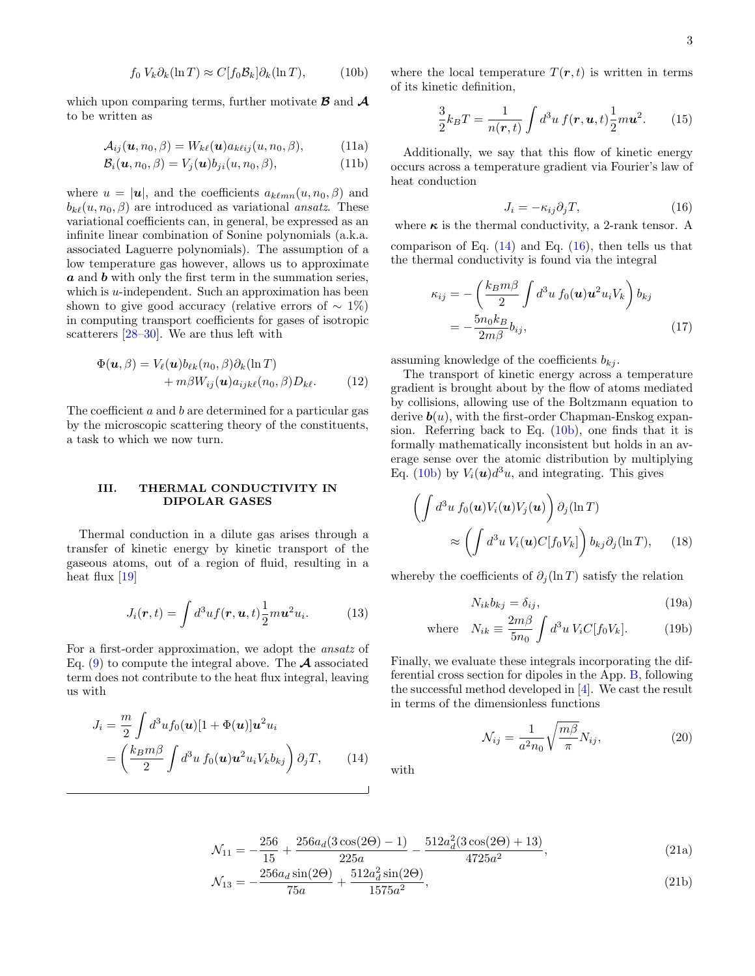$$
f_0 V_k \partial_k (\ln T) \approx C[f_0 \mathcal{B}_k] \partial_k (\ln T), \tag{10b}
$$

which upon comparing terms, further motivate  $\boldsymbol{\beta}$  and  $\boldsymbol{\mathcal{A}}$ to be written as

$$
\mathcal{A}_{ij}(\boldsymbol{u}, n_0, \beta) = W_{k\ell}(\boldsymbol{u}) a_{k\ell ij}(u, n_0, \beta), \tag{11a}
$$

$$
\mathcal{B}_i(\boldsymbol{u}, n_0, \beta) = V_j(\boldsymbol{u}) b_{ji}(u, n_0, \beta), \qquad (11b)
$$

where  $u = |\mathbf{u}|$ , and the coefficients  $a_{k\ell mn}(u, n_0, \beta)$  and  $b_{k\ell}(u, n_0, \beta)$  are introduced as variational ansatz. These variational coefficients can, in general, be expressed as an infinite linear combination of Sonine polynomials (a.k.a. associated Laguerre polynomials). The assumption of a low temperature gas however, allows us to approximate  $a$  and  $b$  with only the first term in the summation series, which is  $u$ -independent. Such an approximation has been shown to give good accuracy (relative errors of  $\sim 1\%$ ) in computing transport coefficients for gases of isotropic scatterers [\[28–](#page-8-15)[30\]](#page-8-16). We are thus left with

$$
\Phi(\mathbf{u}, \beta) = V_{\ell}(\mathbf{u}) b_{\ell k}(n_0, \beta) \partial_k(\ln T) + m \beta W_{ij}(\mathbf{u}) a_{ijk\ell}(n_0, \beta) D_{k\ell}.
$$
 (12)

The coefficient  $a$  and  $b$  are determined for a particular gas by the microscopic scattering theory of the constituents, a task to which we now turn.

### <span id="page-2-0"></span>III. THERMAL CONDUCTIVITY IN DIPOLAR GASES

Thermal conduction in a dilute gas arises through a transfer of kinetic energy by kinetic transport of the gaseous atoms, out of a region of fluid, resulting in a heat flux  $[19]$ 

$$
J_i(\mathbf{r},t) = \int d^3u f(\mathbf{r}, \mathbf{u},t) \frac{1}{2} m \mathbf{u}^2 u_i.
$$
 (13)

For a first-order approximation, we adopt the ansatz of Eq. [\(9\)](#page-1-4) to compute the integral above. The  $A$  associated term does not contribute to the heat flux integral, leaving us with

<span id="page-2-4"></span>
$$
J_i = \frac{m}{2} \int d^3 u f_0(\boldsymbol{u}) [1 + \Phi(\boldsymbol{u})] \boldsymbol{u}^2 u_i
$$
  
= 
$$
\left(\frac{k_B m \beta}{2} \int d^3 u f_0(\boldsymbol{u}) \boldsymbol{u}^2 u_i V_k b_{kj}\right) \partial_j T,
$$
 (14)

<span id="page-2-3"></span>where the local temperature  $T(r, t)$  is written in terms of its kinetic definition,

$$
\frac{3}{2}k_BT = \frac{1}{n(\mathbf{r},t)} \int d^3u \, f(\mathbf{r},\mathbf{u},t) \frac{1}{2}m\mathbf{u}^2. \qquad (15)
$$

Additionally, we say that this flow of kinetic energy occurs across a temperature gradient via Fourier's law of heat conduction

<span id="page-2-2"></span>
$$
J_i = -\kappa_{ij}\partial_j T,\tag{16}
$$

where  $\kappa$  is the thermal conductivity, a 2-rank tensor. A comparison of Eq.  $(14)$  and Eq.  $(16)$ , then tells us that the thermal conductivity is found via the integral

$$
\kappa_{ij} = -\left(\frac{k_B m \beta}{2} \int d^3 u f_0(\mathbf{u}) \mathbf{u}^2 u_i V_k\right) b_{kj}
$$
  
= 
$$
-\frac{5n_0 k_B}{2m \beta} b_{ij},
$$
 (17)

assuming knowledge of the coefficients  $b_{ki}$ .

The transport of kinetic energy across a temperature gradient is brought about by the flow of atoms mediated by collisions, allowing use of the Boltzmann equation to derive  $\mathbf{b}(u)$ , with the first-order Chapman-Enskog expansion. Referring back to Eq. [\(10b\)](#page-2-3), one finds that it is formally mathematically inconsistent but holds in an average sense over the atomic distribution by multiplying Eq. [\(10b\)](#page-2-3) by  $V_i(\boldsymbol{u})d^3u$ , and integrating. This gives

$$
\left(\int d^3u \, f_0(\mathbf{u}) V_i(\mathbf{u}) V_j(\mathbf{u})\right) \partial_j(\ln T)
$$

$$
\approx \left(\int d^3u \, V_i(\mathbf{u}) C[f_0 V_k]\right) b_{kj} \partial_j(\ln T), \qquad (18)
$$

whereby the coefficients of  $\partial_i(\ln T)$  satisfy the relation

$$
N_{ik}b_{kj} = \delta_{ij},\tag{19a}
$$

where 
$$
N_{ik} \equiv \frac{2m\beta}{5n_0} \int d^3u \, V_i C[f_0 V_k].
$$
 (19b)

Finally, we evaluate these integrals incorporating the differential cross section for dipoles in the App. [B,](#page-6-0) following the successful method developed in [\[4\]](#page-8-17). We cast the result in terms of the dimensionless functions

$$
\mathcal{N}_{ij} = \frac{1}{a^2 n_0} \sqrt{\frac{m\beta}{\pi}} N_{ij},\tag{20}
$$

<span id="page-2-1"></span>with

$$
\mathcal{N}_{11} = -\frac{256}{15} + \frac{256a_d(3\cos(2\Theta) - 1)}{225a} - \frac{512a_d^2(3\cos(2\Theta) + 13)}{4725a^2},\tag{21a}
$$

$$
\mathcal{N}_{13} = -\frac{256a_d \sin(2\Theta)}{75a} + \frac{512a_d^2 \sin(2\Theta)}{1575a^2},\tag{21b}
$$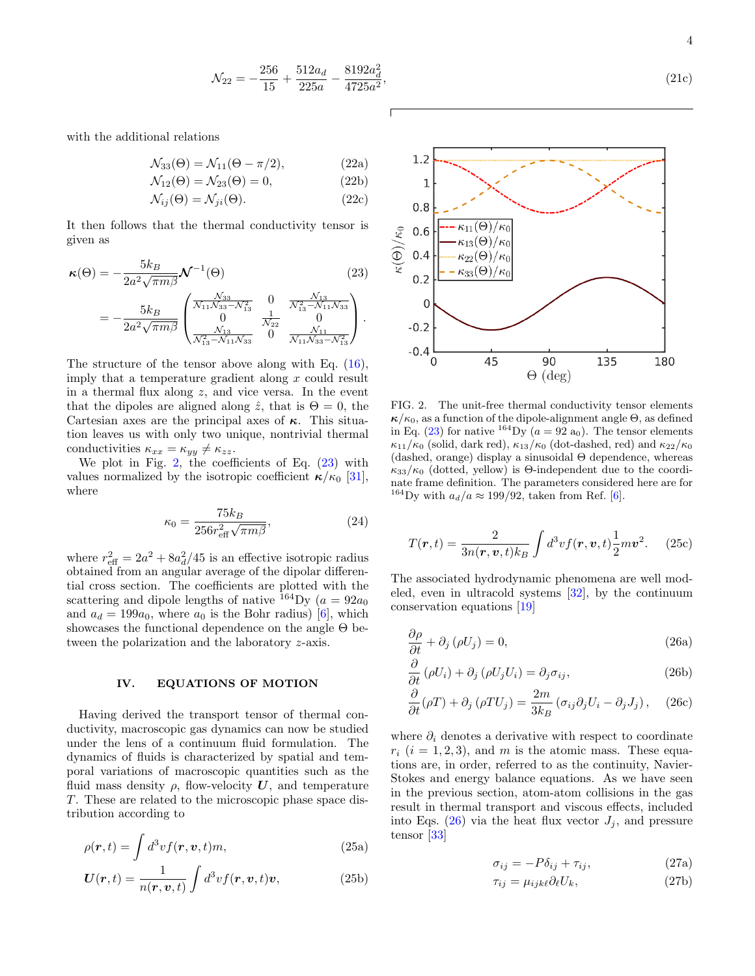$$
\mathcal{N}_{22} = -\frac{256}{15} + \frac{512a_d}{225a} - \frac{8192a_d^2}{4725a^2},\tag{21c}
$$

with the additional relations

$$
\mathcal{N}_{33}(\Theta) = \mathcal{N}_{11}(\Theta - \pi/2),\tag{22a}
$$

$$
\mathcal{N}_{12}(\Theta) = \mathcal{N}_{23}(\Theta) = 0, \tag{22b}
$$

$$
\mathcal{N}_{ij}(\Theta) = \mathcal{N}_{ji}(\Theta). \tag{22c}
$$

It then follows that the thermal conductivity tensor is given as

$$
\kappa(\Theta) = -\frac{5k_B}{2a^2\sqrt{\pi m\beta}} \mathcal{N}^{-1}(\Theta)
$$
(23)  
=  $-\frac{5k_B}{2a^2\sqrt{\pi m\beta}} \begin{pmatrix} \frac{\mathcal{N}_{33}}{\mathcal{N}_{11}\mathcal{N}_{33} - \mathcal{N}_{13}^2} & 0 & \frac{\mathcal{N}_{13}}{\mathcal{N}_{13}^2 - \mathcal{N}_{11}\mathcal{N}_{33}} \\ 0 & \frac{1}{\mathcal{N}_{13}} & 0 \end{pmatrix}.$ 

$$
= -\frac{3\pi}{2a^2\sqrt{\pi m\beta}} \begin{pmatrix} 0 & \frac{1}{N_{22}} & 0 \\ \frac{N_{13}}{N_{13}^2 - N_{11}N_{33}} & 0 & \frac{N_{11}}{N_{11}N_{33} - N_{13}^2} \end{pmatrix}.
$$

The structure of the tensor above along with  $E$ imply that a temperature gradient along  $x$  could result in a thermal flux along  $z$ , and vice versa. In the event that the dipoles are aligned along  $\hat{z}$ , that is  $\Theta = 0$ , the Cartesian axes are the principal axes of  $\kappa$ . This situation leaves us with only two unique, nontrivial thermal conductivities  $\kappa_{xx} = \kappa_{yy} \neq \kappa_{zz}$ .

We plot in Fig. [2,](#page-3-1) the coefficients of Eq.  $(23)$  with values normalized by the isotropic coefficient  $\kappa/\kappa_0$  [\[31\]](#page-8-18), where

$$
\kappa_0 = \frac{75k_B}{256r_{\text{eff}}^2\sqrt{\pi m\beta}},\tag{24}
$$

where  $r_{\text{eff}}^2 = 2a^2 + 8a_d^2/45$  is an effective isotropic radius obtained from an angular average of the dipolar differential cross section. The coefficients are plotted with the scattering and dipole lengths of native  $^{164}$ Dy ( $a = 92a_0$ ) and  $a_d = 199a_0$ , where  $a_0$  is the Bohr radius) [\[6\]](#page-8-19), which showcases the functional dependence on the angle Θ between the polarization and the laboratory z-axis.

#### <span id="page-3-0"></span>IV. EQUATIONS OF MOTION

Having derived the transport tensor of thermal conductivity, macroscopic gas dynamics can now be studied under the lens of a continuum fluid formulation. The dynamics of fluids is characterized by spatial and temporal variations of macroscopic quantities such as the fluid mass density  $\rho$ , flow-velocity U, and temperature T. These are related to the microscopic phase space distribution according to

$$
\rho(\mathbf{r},t) = \int d^3v f(\mathbf{r}, \mathbf{v},t) m,
$$
\n(25a)

$$
\boldsymbol{U}(\boldsymbol{r},t) = \frac{1}{n(\boldsymbol{r},\boldsymbol{v},t)} \int d^3v f(\boldsymbol{r},\boldsymbol{v},t)\boldsymbol{v},\tag{25b}
$$

<span id="page-3-2"></span>

<span id="page-3-1"></span>FIG. 2. The unit-free thermal conductivity tensor elements  $\kappa/\kappa_0$ , as a function of the dipole-alignment angle  $\Theta$ , as defined in Eq. [\(23\)](#page-3-2) for native <sup>164</sup>Dy  $(a = 92 a_0)$ . The tensor elements  $\kappa_{11}/\kappa_0$  (solid, dark red),  $\kappa_{13}/\kappa_0$  (dot-dashed, red) and  $\kappa_{22}/\kappa_0$ (dashed, orange) display a sinusoidal  $\Theta$  dependence, whereas  $\kappa_{33}/\kappa_0$  (dotted, yellow) is  $\Theta$ -independent due to the coordinate frame definition. The parameters considered here are for <sup>164</sup>Dy with  $a_d/a \approx 199/92$ , taken from Ref. [\[6\]](#page-8-19).

$$
T(\mathbf{r},t) = \frac{2}{3n(\mathbf{r},\mathbf{v},t)k_B} \int d^3v f(\mathbf{r},\mathbf{v},t) \frac{1}{2} m v^2.
$$
 (25c)

The associated hydrodynamic phenomena are well modeled, even in ultracold systems [\[32\]](#page-8-20), by the continuum conservation equations [\[19\]](#page-8-8)

<span id="page-3-3"></span>
$$
\frac{\partial \rho}{\partial t} + \partial_j (\rho U_j) = 0, \qquad (26a)
$$

$$
\frac{\partial}{\partial t} \left( \rho U_i \right) + \partial_j \left( \rho U_j U_i \right) = \partial_j \sigma_{ij}, \tag{26b}
$$

$$
\frac{\partial}{\partial t}(\rho T) + \partial_j(\rho T U_j) = \frac{2m}{3k_B} (\sigma_{ij}\partial_j U_i - \partial_j J_j), \quad (26c)
$$

where  $\partial_i$  denotes a derivative with respect to coordinate  $r_i$   $(i = 1, 2, 3)$ , and m is the atomic mass. These equations are, in order, referred to as the continuity, Navier-Stokes and energy balance equations. As we have seen in the previous section, atom-atom collisions in the gas result in thermal transport and viscous effects, included into Eqs. [\(26\)](#page-3-3) via the heat flux vector  $J_i$ , and pressure tensor [\[33\]](#page-8-21)

<span id="page-3-4"></span>
$$
\sigma_{ij} = -P\delta_{ij} + \tau_{ij},\tag{27a}
$$

$$
\tau_{ij} = \mu_{ijk\ell} \partial_{\ell} U_k, \qquad (27b)
$$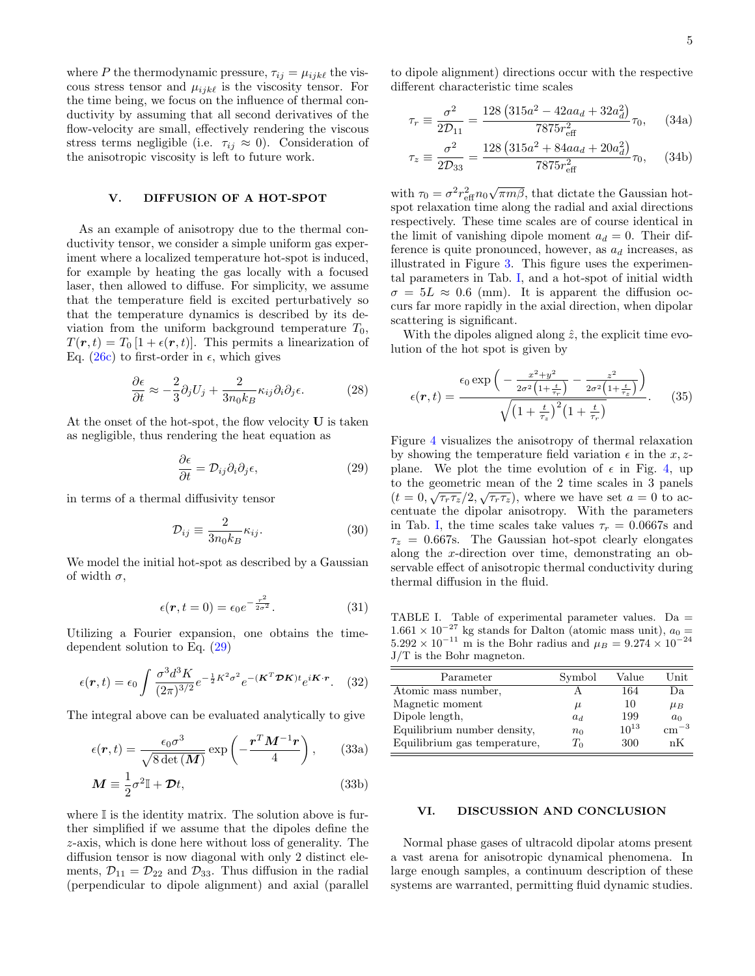where P the thermodynamic pressure,  $\tau_{ij} = \mu_{ijk\ell}$  the viscous stress tensor and  $\mu_{ijk\ell}$  is the viscosity tensor. For the time being, we focus on the influence of thermal conductivity by assuming that all second derivatives of the flow-velocity are small, effectively rendering the viscous stress terms negligible (i.e.  $\tau_{ij} \approx 0$ ). Consideration of the anisotropic viscosity is left to future work.

### <span id="page-4-0"></span>V. DIFFUSION OF A HOT-SPOT

As an example of anisotropy due to the thermal conductivity tensor, we consider a simple uniform gas experiment where a localized temperature hot-spot is induced, for example by heating the gas locally with a focused laser, then allowed to diffuse. For simplicity, we assume that the temperature field is excited perturbatively so that the temperature dynamics is described by its deviation from the uniform background temperature  $T_0$ ,  $T(\mathbf{r}, t) = T_0 [1 + \epsilon(\mathbf{r}, t)].$  This permits a linearization of Eq. [\(26c\)](#page-3-4) to first-order in  $\epsilon$ , which gives

$$
\frac{\partial \epsilon}{\partial t} \approx -\frac{2}{3} \partial_j U_j + \frac{2}{3n_0 k_B} \kappa_{ij} \partial_i \partial_j \epsilon.
$$
 (28)

At the onset of the hot-spot, the flow velocity U is taken as negligible, thus rendering the heat equation as

$$
\frac{\partial \epsilon}{\partial t} = \mathcal{D}_{ij} \partial_i \partial_j \epsilon,\tag{29}
$$

in terms of a thermal diffusivity tensor

$$
\mathcal{D}_{ij} \equiv \frac{2}{3n_0k_B} \kappa_{ij}.
$$
\n(30)

We model the initial hot-spot as described by a Gaussian of width  $\sigma$ ,

$$
\epsilon(\mathbf{r}, t=0) = \epsilon_0 e^{-\frac{r^2}{2\sigma^2}}.
$$
 (31)

Utilizing a Fourier expansion, one obtains the timedependent solution to Eq. [\(29\)](#page-4-2)

$$
\epsilon(\mathbf{r},t) = \epsilon_0 \int \frac{\sigma^3 d^3 K}{(2\pi)^{3/2}} e^{-\frac{1}{2}K^2 \sigma^2} e^{-(\mathbf{K}^T \mathbf{\mathcal{D}} \mathbf{K}) t} e^{i\mathbf{K} \cdot \mathbf{r}}.
$$
 (32)

The integral above can be evaluated analytically to give

$$
\epsilon(\mathbf{r},t) = \frac{\epsilon_0 \sigma^3}{\sqrt{8 \det(\mathbf{M})}} \exp\left(-\frac{\mathbf{r}^T \mathbf{M}^{-1} \mathbf{r}}{4}\right),\qquad(33a)
$$

$$
\mathbf{M} \equiv \frac{1}{2}\sigma^2 \mathbb{I} + \mathcal{D}t,\tag{33b}
$$

where  $\mathbb I$  is the identity matrix. The solution above is further simplified if we assume that the dipoles define the z-axis, which is done here without loss of generality. The diffusion tensor is now diagonal with only 2 distinct elements,  $\mathcal{D}_{11} = \mathcal{D}_{22}$  and  $\mathcal{D}_{33}$ . Thus diffusion in the radial (perpendicular to dipole alignment) and axial (parallel to dipole alignment) directions occur with the respective different characteristic time scales

$$
\tau_r \equiv \frac{\sigma^2}{2\mathcal{D}_{11}} = \frac{128\left(315a^2 - 42aa_d + 32a_d^2\right)}{7875r_{\text{eff}}^2}\tau_0, \quad (34a)
$$

$$
\tau_z \equiv \frac{\sigma^2}{2\mathcal{D}_{33}} = \frac{128\left(315a^2 + 84aa_d + 20a_d^2\right)}{7875r_{\text{eff}}^2}\tau_0, \quad (34b)
$$

with  $\tau_0 = \sigma^2 r_{\text{eff}}^2 n_0 \sqrt{\pi m \beta}$ , that dictate the Gaussian hotspot relaxation time along the radial and axial directions respectively. These time scales are of course identical in the limit of vanishing dipole moment  $a_d = 0$ . Their difference is quite pronounced, however, as  $a_d$  increases, as illustrated in Figure [3.](#page-5-1) This figure uses the experimental parameters in Tab. [I,](#page-4-3) and a hot-spot of initial width  $\sigma = 5L \approx 0.6$  (mm). It is apparent the diffusion occurs far more rapidly in the axial direction, when dipolar scattering is significant.

With the dipoles aligned along  $\hat{z}$ , the explicit time evolution of the hot spot is given by

$$
\epsilon(\mathbf{r},t) = \frac{\epsilon_0 \exp\left(-\frac{x^2 + y^2}{2\sigma^2 \left(1 + \frac{t}{\tau_r}\right)} - \frac{z^2}{2\sigma^2 \left(1 + \frac{t}{\tau_z}\right)}\right)}{\sqrt{\left(1 + \frac{t}{\tau_z}\right)^2 \left(1 + \frac{t}{\tau_r}\right)}}.
$$
(35)

<span id="page-4-2"></span>Figure [4](#page-5-2) visualizes the anisotropy of thermal relaxation by showing the temperature field variation  $\epsilon$  in the x, zplane. We plot the time evolution of  $\epsilon$  in Fig. [4,](#page-5-2) up to the geometric mean of the 2 time scales in 3 panels  $(t=0,\sqrt{\tau_r\tau_z}/2,\sqrt{\tau_r\tau_z})$ , where we have set  $a=0$  to accentuate the dipolar anisotropy. With the parameters in Tab. [I,](#page-4-3) the time scales take values  $\tau_r = 0.0667$ s and  $\tau_z = 0.667$ s. The Gaussian hot-spot clearly elongates along the x-direction over time, demonstrating an observable effect of anisotropic thermal conductivity during thermal diffusion in the fluid.

<span id="page-4-3"></span>TABLE I. Table of experimental parameter values. Da =  $1.661 \times 10^{-27}$  kg stands for Dalton (atomic mass unit),  $a_0 =$  $5.292 \times 10^{-11}$  m is the Bohr radius and  $\mu_B = 9.274 \times 10^{-24}$ J/T is the Bohr magneton.

| Parameter                    | Symbol | Value     | Unit           |
|------------------------------|--------|-----------|----------------|
| Atomic mass number,          |        | 164       | Da.            |
| Magnetic moment              | $\mu$  | 10        | $\mu_B$        |
| Dipole length,               | $a_d$  | 199       | a <sub>0</sub> |
| Equilibrium number density,  | $n_0$  | $10^{13}$ | $\rm cm^{-3}$  |
| Equilibrium gas temperature, | $T_0$  | 300       | nК             |

### <span id="page-4-1"></span>VI. DISCUSSION AND CONCLUSION

Normal phase gases of ultracold dipolar atoms present a vast arena for anisotropic dynamical phenomena. In large enough samples, a continuum description of these systems are warranted, permitting fluid dynamic studies.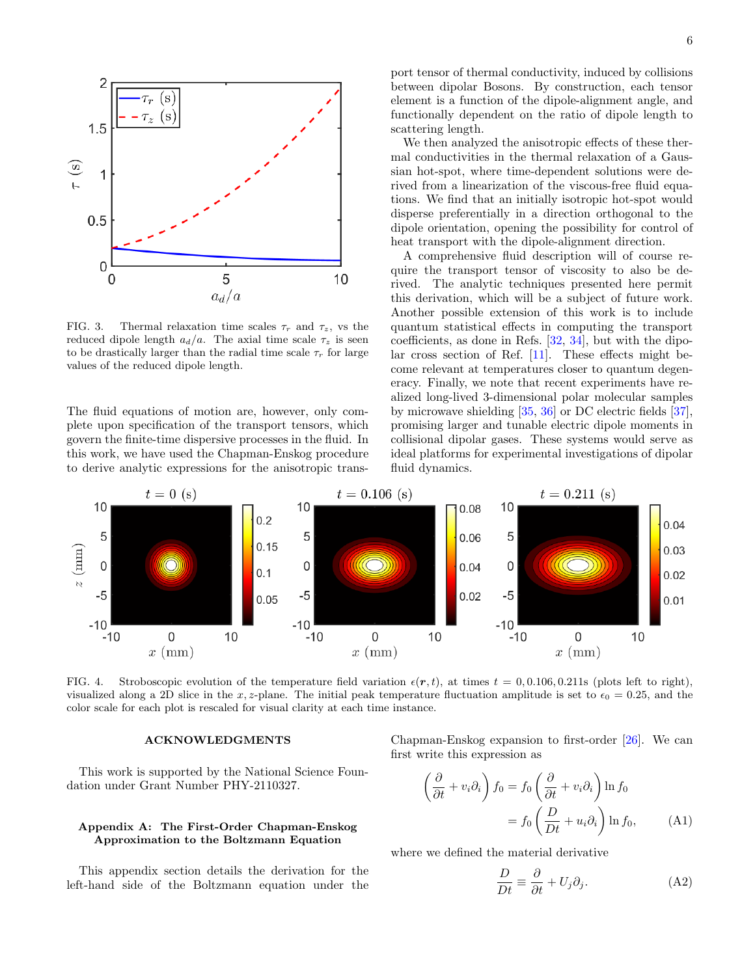

<span id="page-5-1"></span>FIG. 3. Thermal relaxation time scales  $\tau_r$  and  $\tau_z$ , vs the reduced dipole length  $a_d/a$ . The axial time scale  $\tau_z$  is seen to be drastically larger than the radial time scale  $\tau_r$  for large values of the reduced dipole length.

The fluid equations of motion are, however, only complete upon specification of the transport tensors, which govern the finite-time dispersive processes in the fluid. In this work, we have used the Chapman-Enskog procedure to derive analytic expressions for the anisotropic trans-

port tensor of thermal conductivity, induced by collisions between dipolar Bosons. By construction, each tensor element is a function of the dipole-alignment angle, and functionally dependent on the ratio of dipole length to scattering length.

We then analyzed the anisotropic effects of these thermal conductivities in the thermal relaxation of a Gaussian hot-spot, where time-dependent solutions were derived from a linearization of the viscous-free fluid equations. We find that an initially isotropic hot-spot would disperse preferentially in a direction orthogonal to the dipole orientation, opening the possibility for control of heat transport with the dipole-alignment direction.

A comprehensive fluid description will of course require the transport tensor of viscosity to also be derived. The analytic techniques presented here permit this derivation, which will be a subject of future work. Another possible extension of this work is to include quantum statistical effects in computing the transport coefficients, as done in Refs. [\[32,](#page-8-20) [34\]](#page-8-22), but with the dipolar cross section of Ref. [\[11\]](#page-8-2). These effects might become relevant at temperatures closer to quantum degeneracy. Finally, we note that recent experiments have realized long-lived 3-dimensional polar molecular samples by microwave shielding [\[35,](#page-8-23) [36\]](#page-8-24) or DC electric fields [\[37\]](#page-8-25), promising larger and tunable electric dipole moments in collisional dipolar gases. These systems would serve as ideal platforms for experimental investigations of dipolar fluid dynamics.



<span id="page-5-2"></span>FIG. 4. Stroboscopic evolution of the temperature field variation  $\epsilon(r, t)$ , at times  $t = 0, 0.106, 0.211$ s (plots left to right), visualized along a 2D slice in the x, z-plane. The initial peak temperature fluctuation amplitude is set to  $\epsilon_0 = 0.25$ , and the color scale for each plot is rescaled for visual clarity at each time instance.

 $\sqrt{ }$ 

### ACKNOWLEDGMENTS

This work is supported by the National Science Foundation under Grant Number PHY-2110327.

## <span id="page-5-0"></span>Appendix A: The First-Order Chapman-Enskog Approximation to the Boltzmann Equation

This appendix section details the derivation for the left-hand side of the Boltzmann equation under the Chapman-Enskog expansion to first-order [\[26\]](#page-8-13). We can first write this expression as

$$
\frac{\partial}{\partial t} + v_i \partial_i \right) f_0 = f_0 \left( \frac{\partial}{\partial t} + v_i \partial_i \right) \ln f_0
$$

$$
= f_0 \left( \frac{D}{Dt} + u_i \partial_i \right) \ln f_0, \quad (A1)
$$

where we defined the material derivative

$$
\frac{D}{Dt} \equiv \frac{\partial}{\partial t} + U_j \partial_j.
$$
 (A2)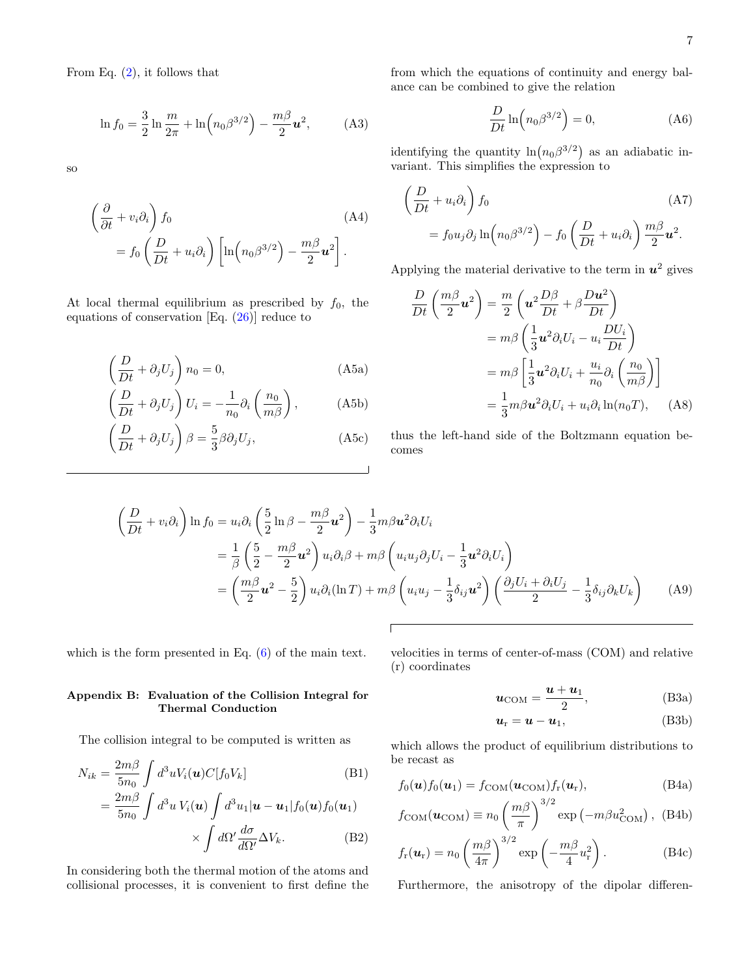From Eq.  $(2)$ , it follows that

$$
\ln f_0 = \frac{3}{2} \ln \frac{m}{2\pi} + \ln \left( n_0 \beta^{3/2} \right) - \frac{m\beta}{2} u^2, \tag{A3}
$$

so

$$
\left(\frac{\partial}{\partial t} + v_i \partial_i\right) f_0\n= f_0 \left(\frac{D}{Dt} + u_i \partial_i\right) \left[\ln \left(n_0 \beta^{3/2}\right) - \frac{m\beta}{2} u^2\right].
$$
\n(A4)

At local thermal equilibrium as prescribed by  $f_0$ , the equations of conservation [Eq. [\(26\)](#page-3-3)] reduce to

$$
\left(\frac{D}{Dt} + \partial_j U_j\right) n_0 = 0,
$$
\n(A5a)

$$
\left(\frac{D}{Dt} + \partial_j U_j\right) U_i = -\frac{1}{n_0} \partial_i \left(\frac{n_0}{m\beta}\right), \quad (A5b)
$$

$$
\left(\frac{D}{Dt} + \partial_j U_j\right)\beta = \frac{5}{3}\beta \partial_j U_j,
$$
\n(A5c)

from which the equations of continuity and energy balance can be combined to give the relation

$$
\frac{D}{Dt}\ln\left(n_0\beta^{3/2}\right) = 0,\t(A6)
$$

identifying the quantity  $\ln(n_0\beta^{3/2})$  as an adiabatic invariant. This simplifies the expression to

$$
\left(\frac{D}{Dt} + u_i \partial_i\right) f_0 \tag{A7}
$$
\n
$$
= f_0 u_j \partial_j \ln \left(n_0 \beta^{3/2}\right) - f_0 \left(\frac{D}{Dt} + u_i \partial_i\right) \frac{m\beta}{2} u^2.
$$

Applying the material derivative to the term in  $u^2$  gives

$$
\frac{D}{Dt}\left(\frac{m\beta}{2}\mathbf{u}^2\right) = \frac{m}{2}\left(\mathbf{u}^2\frac{D\beta}{Dt} + \beta\frac{D\mathbf{u}^2}{Dt}\right)
$$

$$
= m\beta\left(\frac{1}{3}\mathbf{u}^2\partial_iU_i - u_i\frac{DU_i}{Dt}\right)
$$

$$
= m\beta\left[\frac{1}{3}\mathbf{u}^2\partial_iU_i + \frac{u_i}{n_0}\partial_i\left(\frac{n_0}{m\beta}\right)\right]
$$

$$
= \frac{1}{3}m\beta\mathbf{u}^2\partial_iU_i + u_i\partial_i\ln(n_0T), \quad \text{(A8)}
$$

thus the left-hand side of the Boltzmann equation becomes

$$
\left(\frac{D}{Dt} + v_i \partial_i\right) \ln f_0 = u_i \partial_i \left(\frac{5}{2} \ln \beta - \frac{m\beta}{2} \mathbf{u}^2\right) - \frac{1}{3} m\beta \mathbf{u}^2 \partial_i U_i
$$
  
\n
$$
= \frac{1}{\beta} \left(\frac{5}{2} - \frac{m\beta}{2} \mathbf{u}^2\right) u_i \partial_i \beta + m\beta \left(u_i u_j \partial_j U_i - \frac{1}{3} \mathbf{u}^2 \partial_i U_i\right)
$$
  
\n
$$
= \left(\frac{m\beta}{2} \mathbf{u}^2 - \frac{5}{2}\right) u_i \partial_i (\ln T) + m\beta \left(u_i u_j - \frac{1}{3} \delta_{ij} \mathbf{u}^2\right) \left(\frac{\partial_j U_i + \partial_i U_j}{2} - \frac{1}{3} \delta_{ij} \partial_k U_k\right) \tag{A9}
$$

which is the form presented in Eq. [\(6\)](#page-1-3) of the main text.

<span id="page-6-0"></span>Appendix B: Evaluation of the Collision Integral for Thermal Conduction

velocities in terms of center-of-mass (COM) and relative (r) coordinates

<span id="page-6-1"></span>
$$
u_{\text{COM}} = \frac{u + u_1}{2},\tag{B3a}
$$

$$
u_{\rm r} = u - u_1, \tag{B3b}
$$

The collision integral to be computed is written as

$$
N_{ik} = \frac{2m\beta}{5n_0} \int d^3 u V_i(\boldsymbol{u}) C[f_0 V_k]
$$
(B1)  

$$
= \frac{2m\beta}{5n_0} \int d^3 u V_i(\boldsymbol{u}) \int d^3 u_1 |\boldsymbol{u} - \boldsymbol{u}_1| f_0(\boldsymbol{u}) f_0(\boldsymbol{u}_1)
$$

$$
\times \int d\Omega' \frac{d\sigma}{d\Omega'} \Delta V_k.
$$
(B2)

In considering both the thermal motion of the atoms and collisional processes, it is convenient to first define the

which allows the product of equilibrium distributions to be recast as

$$
f_0(\mathbf{u})f_0(\mathbf{u}_1) = f_{COM}(\mathbf{u}_{COM})f_r(\mathbf{u}_r),
$$
 (B4a)

$$
f_{\text{COM}}(\boldsymbol{u}_{\text{COM}}) \equiv n_0 \left(\frac{m\beta}{\pi}\right)^{3/2} \exp\left(-m\beta u_{\text{COM}}^2\right), \text{ (B4b)}
$$

$$
f_{\rm r}(\boldsymbol{u}_{\rm r}) = n_0 \left(\frac{m\beta}{4\pi}\right)^{3/2} \exp\left(-\frac{m\beta}{4}u_{\rm r}^2\right). \tag{B4c}
$$

Furthermore, the anisotropy of the dipolar differen-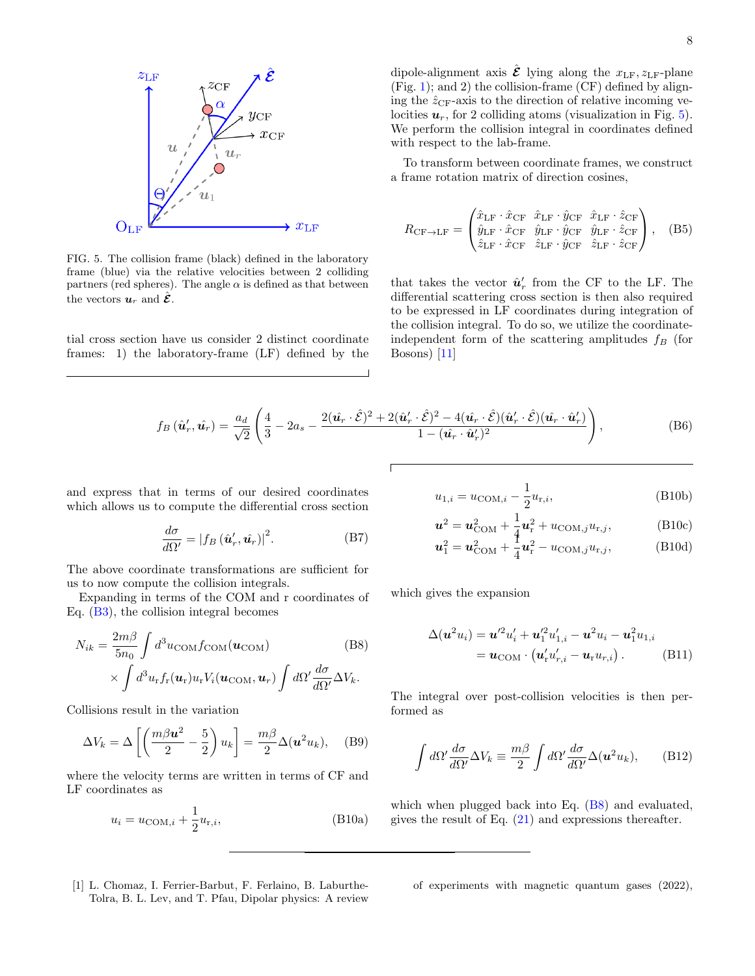

<span id="page-7-1"></span>FIG. 5. The collision frame (black) defined in the laboratory frame (blue) via the relative velocities between 2 colliding partners (red spheres). The angle  $\alpha$  is defined as that between the vectors  $u_r$  and  $\hat{\mathcal{E}}$ .

tial cross section have us consider 2 distinct coordinate frames: 1) the laboratory-frame (LF) defined by the

dipole-alignment axis  $\hat{\mathcal{E}}$  lying along the  $x_{LF}, z_{LF}$ -plane  $(Fig. 1);$  $(Fig. 1);$  $(Fig. 1);$  and 2) the collision-frame  $(CF)$  defined by aligning the  $\hat{z}_{CF}$ -axis to the direction of relative incoming velocities  $u_r$ , for 2 colliding atoms (visualization in Fig. [5\)](#page-7-1). We perform the collision integral in coordinates defined with respect to the lab-frame.

To transform between coordinate frames, we construct a frame rotation matrix of direction cosines,

$$
R_{\rm CF \to LF} = \begin{pmatrix} \hat{x}_{\rm LF} \cdot \hat{x}_{\rm CF} & \hat{x}_{\rm LF} \cdot \hat{y}_{\rm CF} & \hat{x}_{\rm LF} \cdot \hat{z}_{\rm CF} \\ \hat{y}_{\rm LF} \cdot \hat{x}_{\rm CF} & \hat{y}_{\rm LF} \cdot \hat{y}_{\rm CF} & \hat{y}_{\rm LF} \cdot \hat{z}_{\rm CF} \\ \hat{z}_{\rm LF} \cdot \hat{x}_{\rm CF} & \hat{z}_{\rm LF} \cdot \hat{y}_{\rm CF} & \hat{z}_{\rm LF} \cdot \hat{z}_{\rm CF} \end{pmatrix}, \quad (B5)
$$

that takes the vector  $\hat{u}'_r$  from the CF to the LF. The differential scattering cross section is then also required to be expressed in LF coordinates during integration of the collision integral. To do so, we utilize the coordinateindependent form of the scattering amplitudes  $f_B$  (for Bosons) [\[11\]](#page-8-2)

$$
f_B\left(\hat{\boldsymbol{u}}'_r, \hat{\boldsymbol{u}_r}\right) = \frac{a_d}{\sqrt{2}} \left( \frac{4}{3} - 2a_s - \frac{2(\hat{\boldsymbol{u}_r} \cdot \hat{\mathcal{E}})^2 + 2(\hat{\boldsymbol{u}}'_r \cdot \hat{\mathcal{E}})^2 - 4(\hat{\boldsymbol{u}_r} \cdot \hat{\mathcal{E}})(\hat{\boldsymbol{u}}'_r \cdot \hat{\mathcal{E}})(\hat{\boldsymbol{u}}'_r \cdot \hat{\boldsymbol{u}}'_r)}{1 - (\hat{\boldsymbol{u}_r} \cdot \hat{\boldsymbol{u}}'_r)^2} \right),\tag{B6}
$$

and express that in terms of our desired coordinates which allows us to compute the differential cross section

$$
\frac{d\sigma}{d\Omega'} = |f_B(\hat{\mathbf{u}}'_r, \hat{\mathbf{u}}_r)|^2.
$$
 (B7)

The above coordinate transformations are sufficient for us to now compute the collision integrals.

Expanding in terms of the COM and r coordinates of Eq. [\(B3\)](#page-6-1), the collision integral becomes

$$
N_{ik} = \frac{2m\beta}{5n_0} \int d^3u_{\text{COM}} f_{\text{COM}}(\boldsymbol{u}_{\text{COM}})
$$
(B8)  
 
$$
\times \int d^3u_{\text{r}} f_{\text{r}}(\boldsymbol{u}_{\text{r}}) u_{\text{r}} V_i(\boldsymbol{u}_{\text{COM}}, \boldsymbol{u}_r) \int d\Omega' \frac{d\sigma}{d\Omega'} \Delta V_k.
$$

Collisions result in the variation

$$
\Delta V_k = \Delta \left[ \left( \frac{m\beta \mathbf{u}^2}{2} - \frac{5}{2} \right) u_k \right] = \frac{m\beta}{2} \Delta (\mathbf{u}^2 u_k), \quad \text{(B9)}
$$

where the velocity terms are written in terms of CF and LF coordinates as

$$
u_i = u_{\text{COM},i} + \frac{1}{2}u_{\text{r},i},
$$
 (B10a)

$$
u_{1,i} = u_{COM,i} - \frac{1}{2}u_{\text{r},i},\tag{B10b}
$$

$$
\boldsymbol{u}^2 = \boldsymbol{u}_{\text{COM}}^2 + \frac{1}{4}\boldsymbol{u}_{\text{r}}^2 + u_{\text{COM},j}u_{\text{r},j},\tag{B10c}
$$

$$
\boldsymbol{u}_1^2 = \boldsymbol{u}_{\text{COM}}^2 + \frac{1}{4}\boldsymbol{u}_r^2 - u_{\text{COM},j}u_{r,j},
$$
 (B10d)

<span id="page-7-2"></span>which gives the expansion

$$
\Delta(\boldsymbol{u}^2 u_i) = \boldsymbol{u}'^2 u'_i + \boldsymbol{u}'^2_1 u'_{1,i} - \boldsymbol{u}^2 u_i - \boldsymbol{u}'^2_1 u_{1,i}
$$
  
=  $\boldsymbol{u}_{COM} \cdot (\boldsymbol{u}'_r u'_{r,i} - \boldsymbol{u}_r u_{r,i}).$  (B11)

The integral over post-collision velocities is then performed as

$$
\int d\Omega' \frac{d\sigma}{d\Omega'} \Delta V_k \equiv \frac{m\beta}{2} \int d\Omega' \frac{d\sigma}{d\Omega'} \Delta(u^2 u_k), \quad (B12)
$$

which when plugged back into Eq.  $(B8)$  and evaluated, gives the result of Eq. [\(21\)](#page-2-4) and expressions thereafter.

<span id="page-7-0"></span>[1] L. Chomaz, I. Ferrier-Barbut, F. Ferlaino, B. Laburthe-Tolra, B. L. Lev, and T. Pfau, Dipolar physics: A review of experiments with magnetic quantum gases (2022),